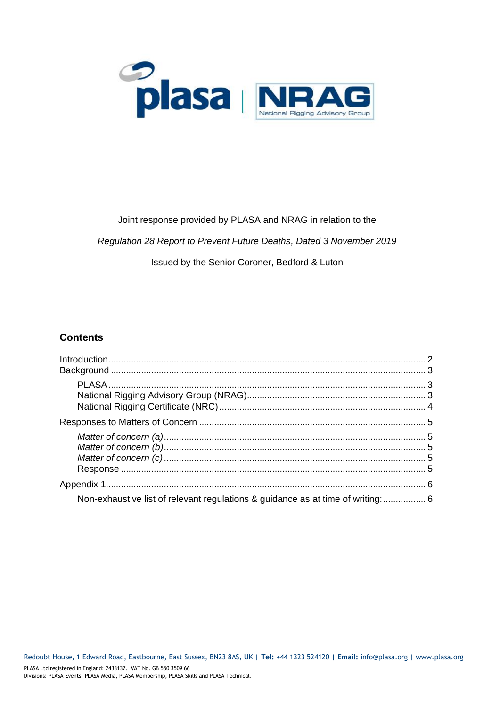

### Joint response provided by PLASA and NRAG in relation to the

*Regulation 28 Report to Prevent Future Deaths, Dated 3 November 2019*

#### Issued by the Senior Coroner, Bedford & Luton

### **Contents**

| Non-exhaustive list of relevant regulations & guidance as at time of writing:  6 |  |
|----------------------------------------------------------------------------------|--|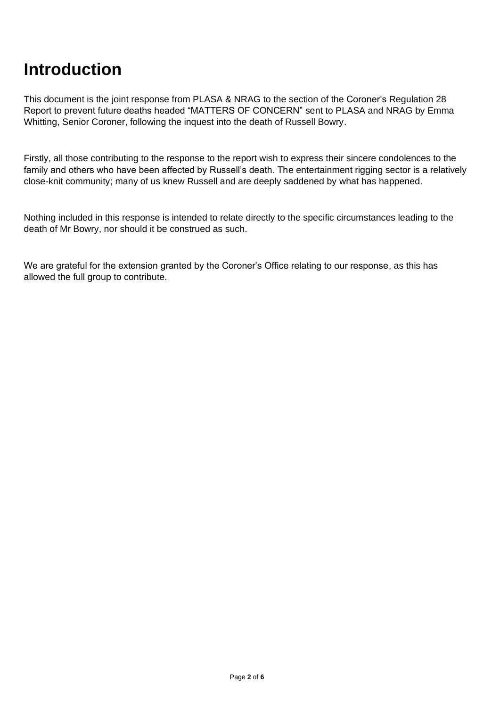## <span id="page-1-0"></span>**Introduction**

This document is the joint response from PLASA & NRAG to the section of the Coroner's Regulation 28 Report to prevent future deaths headed "MATTERS OF CONCERN" sent to PLASA and NRAG by Emma Whitting, Senior Coroner, following the inquest into the death of Russell Bowry.

Firstly, all those contributing to the response to the report wish to express their sincere condolences to the family and others who have been affected by Russell's death. The entertainment rigging sector is a relatively close-knit community; many of us knew Russell and are deeply saddened by what has happened.

Nothing included in this response is intended to relate directly to the specific circumstances leading to the death of Mr Bowry, nor should it be construed as such.

We are grateful for the extension granted by the Coroner's Office relating to our response, as this has allowed the full group to contribute.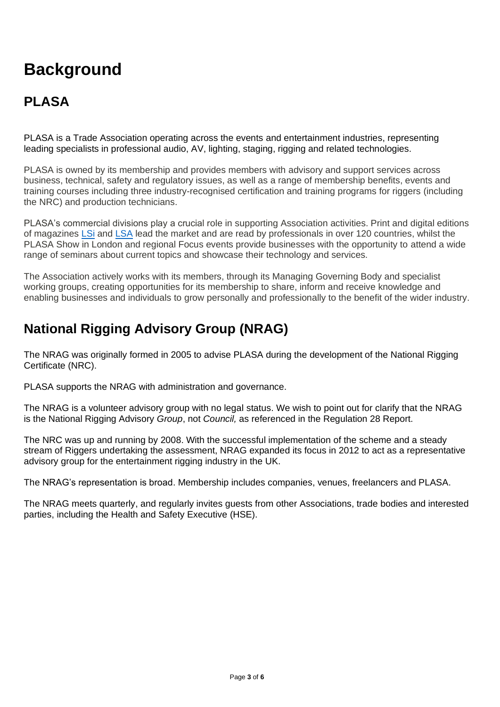# <span id="page-2-0"></span>**Background**

## <span id="page-2-1"></span>**PLASA**

PLASA is a Trade Association operating across the events and entertainment industries, representing leading specialists in professional audio, AV, lighting, staging, rigging and related technologies.

PLASA is owned by its membership and provides members with advisory and support services across business, technical, safety and regulatory issues, as well as a range of membership benefits, events and training courses including three industry-recognised certification and training programs for riggers (including the NRC) and production technicians.

PLASA's commercial divisions play a crucial role in supporting Association activities. Print and digital editions of magazines [LSi](https://www.lsionline.com/) and [LSA](http://www.lightingandsoundamerica.com/) lead the market and are read by professionals in over 120 countries, whilst the PLASA Show in London and regional Focus events provide businesses with the opportunity to attend a wide range of seminars about current topics and showcase their technology and services.

The Association actively works with its members, through its Managing Governing Body and specialist working groups, creating opportunities for its membership to share, inform and receive knowledge and enabling businesses and individuals to grow personally and professionally to the benefit of the wider industry.

### <span id="page-2-2"></span>**National Rigging Advisory Group (NRAG)**

The NRAG was originally formed in 2005 to advise PLASA during the development of the National Rigging Certificate (NRC).

PLASA supports the NRAG with administration and governance.

The NRAG is a volunteer advisory group with no legal status. We wish to point out for clarify that the NRAG is the National Rigging Advisory *Group*, not *Council,* as referenced in the Regulation 28 Report.

The NRC was up and running by 2008. With the successful implementation of the scheme and a steady stream of Riggers undertaking the assessment, NRAG expanded its focus in 2012 to act as a representative advisory group for the entertainment rigging industry in the UK.

The NRAG's representation is broad. Membership includes companies, venues, freelancers and PLASA.

The NRAG meets quarterly, and regularly invites guests from other Associations, trade bodies and interested parties, including the Health and Safety Executive (HSE).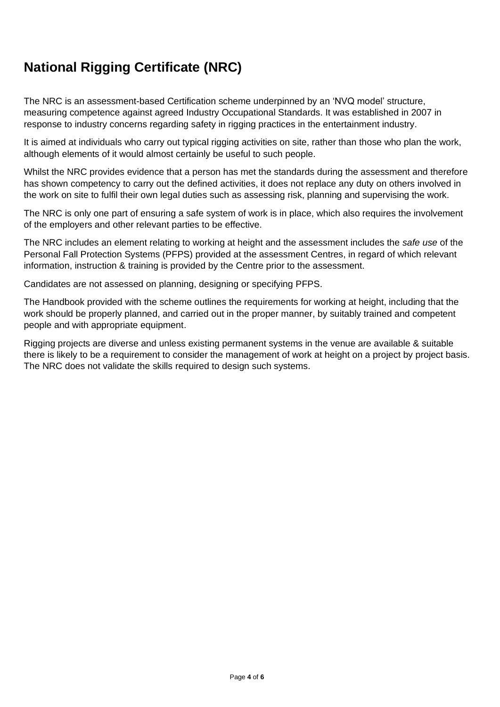## <span id="page-3-0"></span>**National Rigging Certificate (NRC)**

The NRC is an assessment-based Certification scheme underpinned by an 'NVQ model' structure, measuring competence against agreed Industry Occupational Standards. It was established in 2007 in response to industry concerns regarding safety in rigging practices in the entertainment industry.

It is aimed at individuals who carry out typical rigging activities on site, rather than those who plan the work, although elements of it would almost certainly be useful to such people.

Whilst the NRC provides evidence that a person has met the standards during the assessment and therefore has shown competency to carry out the defined activities, it does not replace any duty on others involved in the work on site to fulfil their own legal duties such as assessing risk, planning and supervising the work.

The NRC is only one part of ensuring a safe system of work is in place, which also requires the involvement of the employers and other relevant parties to be effective.

The NRC includes an element relating to working at height and the assessment includes the *safe use* of the Personal Fall Protection Systems (PFPS) provided at the assessment Centres, in regard of which relevant information, instruction & training is provided by the Centre prior to the assessment.

Candidates are not assessed on planning, designing or specifying PFPS.

The Handbook provided with the scheme outlines the requirements for working at height, including that the work should be properly planned, and carried out in the proper manner, by suitably trained and competent people and with appropriate equipment.

Rigging projects are diverse and unless existing permanent systems in the venue are available & suitable there is likely to be a requirement to consider the management of work at height on a project by project basis. The NRC does not validate the skills required to design such systems.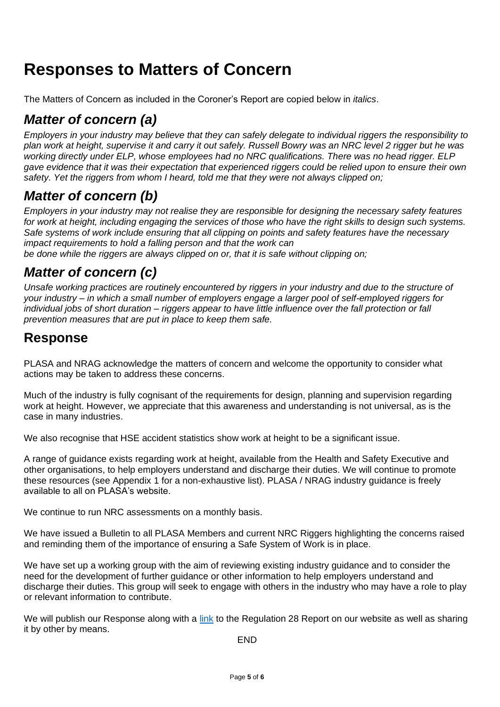## <span id="page-4-0"></span>**Responses to Matters of Concern**

The Matters of Concern as included in the Coroner's Report are copied below in *italics*.

### <span id="page-4-1"></span>*Matter of concern (a)*

*Employers in your industry may believe that they can safely delegate to individual riggers the responsibility to plan work at height, supervise it and carry it out safely. Russell Bowry was an NRC level 2 rigger but he was working directly under ELP, whose employees had no NRC qualifications. There was no head rigger. ELP gave evidence that it was their expectation that experienced riggers could be relied upon to ensure their own safety. Yet the riggers from whom I heard, told me that they were not always clipped on;*

### <span id="page-4-2"></span>*Matter of concern (b)*

*Employers in your industry may not realise they are responsible for designing the necessary safety features*  for work at height, including engaging the services of those who have the right skills to design such systems. *Safe systems of work include ensuring that all clipping on points and safety features have the necessary impact requirements to hold a falling person and that the work can*

*be done while the riggers are always clipped on or, that it is safe without clipping on;*

### <span id="page-4-3"></span>*Matter of concern (c)*

*Unsafe working practices are routinely encountered by riggers in your industry and due to the structure of your industry – in which a small number of employers engage a larger pool of self-employed riggers for individual jobs of short duration – riggers appear to have little influence over the fall protection or fall prevention measures that are put in place to keep them safe.*

### <span id="page-4-4"></span>**Response**

PLASA and NRAG acknowledge the matters of concern and welcome the opportunity to consider what actions may be taken to address these concerns.

Much of the industry is fully cognisant of the requirements for design, planning and supervision regarding work at height. However, we appreciate that this awareness and understanding is not universal, as is the case in many industries.

We also recognise that HSE accident statistics show work at height to be a significant issue.

A range of guidance exists regarding work at height, available from the Health and Safety Executive and other organisations, to help employers understand and discharge their duties. We will continue to promote these resources (see Appendix 1 for a non-exhaustive list). PLASA / NRAG industry guidance is freely available to all on PLASA's website.

We continue to run NRC assessments on a monthly basis.

We have issued a Bulletin to all PLASA Members and current NRC Riggers highlighting the concerns raised and reminding them of the importance of ensuring a Safe System of Work is in place.

We have set up a working group with the aim of reviewing existing industry guidance and to consider the need for the development of further guidance or other information to help employers understand and discharge their duties. This group will seek to engage with others in the industry who may have a role to play or relevant information to contribute.

We will publish our Response along with a [link](https://www.judiciary.uk/wp-content/uploads/2019/12/Russell-BOWRY-2019-0373_Redacted.pdf) to the Regulation 28 Report on our website as well as sharing it by other by means.

END